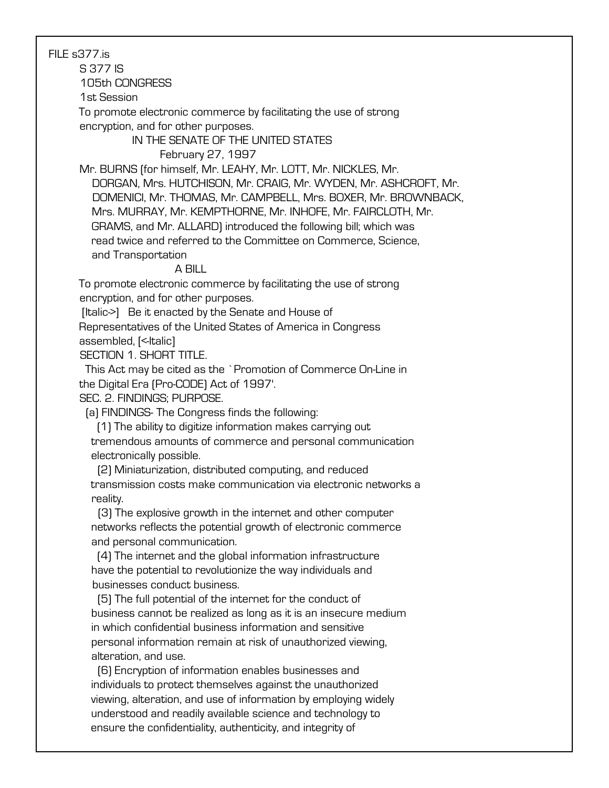FILE s377.is

S 377 IS

105th CONGRESS

1st Session

 To promote electronic commerce by facilitating the use of strong encryption, and for other purposes.

> IN THE SENATE OF THE UNITED STATES February 27, 1997

 Mr. BURNS (for himself, Mr. LEAHY, Mr. LOTT, Mr. NICKLES, Mr. DORGAN, Mrs. HUTCHISON, Mr. CRAIG, Mr. WYDEN, Mr. ASHCROFT, Mr. DOMENICI, Mr. THOMAS, Mr. CAMPBELL, Mrs. BOXER, Mr. BROWNBACK, Mrs. MURRAY, Mr. KEMPTHORNE, Mr. INHOFE, Mr. FAIRCLOTH, Mr. GRAMS, and Mr. ALLARD) introduced the following bill; which was read twice and referred to the Committee on Commerce, Science, and Transportation

## A BILL

 To promote electronic commerce by facilitating the use of strong encryption, and for other purposes.

[Italic->] Be it enacted by the Senate and House of

 Representatives of the United States of America in Congress assembled, [<-Italic]

SECTION 1. SHORT TITLE.

 This Act may be cited as the `Promotion of Commerce On-Line in the Digital Era (Pro-CODE) Act of 1997'.

SEC. 2. FINDINGS; PURPOSE.

(a) FINDINGS- The Congress finds the following:

 (1) The ability to digitize information makes carrying out tremendous amounts of commerce and personal communication electronically possible.

 (2) Miniaturization, distributed computing, and reduced transmission costs make communication via electronic networks a reality.

 (3) The explosive growth in the internet and other computer networks reflects the potential growth of electronic commerce and personal communication.

 (4) The internet and the global information infrastructure have the potential to revolutionize the way individuals and businesses conduct business.

 (5) The full potential of the internet for the conduct of business cannot be realized as long as it is an insecure medium in which confidential business information and sensitive personal information remain at risk of unauthorized viewing, alteration, and use.

 (6) Encryption of information enables businesses and individuals to protect themselves against the unauthorized viewing, alteration, and use of information by employing widely understood and readily available science and technology to ensure the confidentiality, authenticity, and integrity of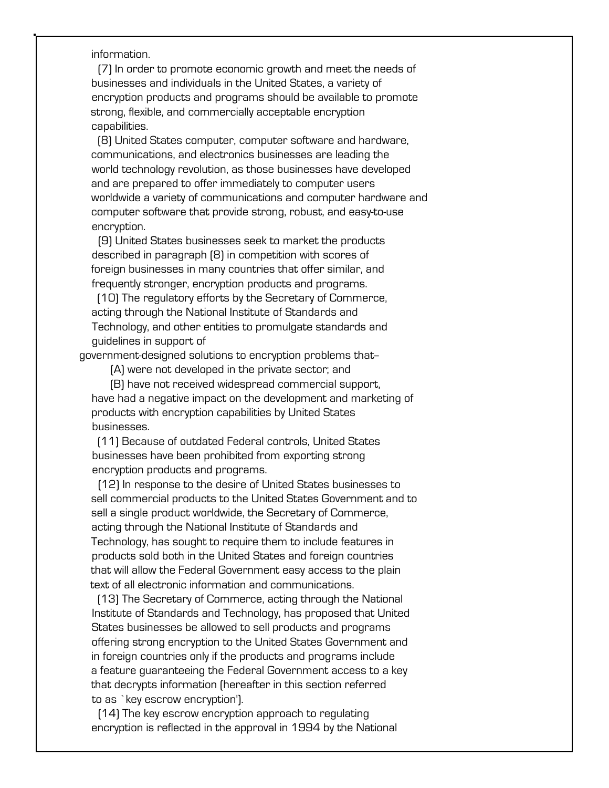## information.

 (7) In order to promote economic growth and meet the needs of businesses and individuals in the United States, a variety of encryption products and programs should be available to promote strong, flexible, and commercially acceptable encryption capabilities.

 (8) United States computer, computer software and hardware, communications, and electronics businesses are leading the world technology revolution, as those businesses have developed and are prepared to offer immediately to computer users worldwide a variety of communications and computer hardware and computer software that provide strong, robust, and easy-to-use encryption.

 (9) United States businesses seek to market the products described in paragraph (8) in competition with scores of foreign businesses in many countries that offer similar, and frequently stronger, encryption products and programs.

 (10) The regulatory efforts by the Secretary of Commerce, acting through the National Institute of Standards and Technology, and other entities to promulgate standards and guidelines in support of

government-designed solutions to encryption problems that--

(A) were not developed in the private sector; and

 (B) have not received widespread commercial support, have had a negative impact on the development and marketing of products with encryption capabilities by United States businesses.

 (11) Because of outdated Federal controls, United States businesses have been prohibited from exporting strong encryption products and programs.

 (12) In response to the desire of United States businesses to sell commercial products to the United States Government and to sell a single product worldwide, the Secretary of Commerce, acting through the National Institute of Standards and Technology, has sought to require them to include features in products sold both in the United States and foreign countries that will allow the Federal Government easy access to the plain text of all electronic information and communications.

 (13) The Secretary of Commerce, acting through the National Institute of Standards and Technology, has proposed that United States businesses be allowed to sell products and programs offering strong encryption to the United States Government and in foreign countries only if the products and programs include a feature guaranteeing the Federal Government access to a key that decrypts information (hereafter in this section referred to as `key escrow encryption').

 (14) The key escrow encryption approach to regulating encryption is reflected in the approval in 1994 by the National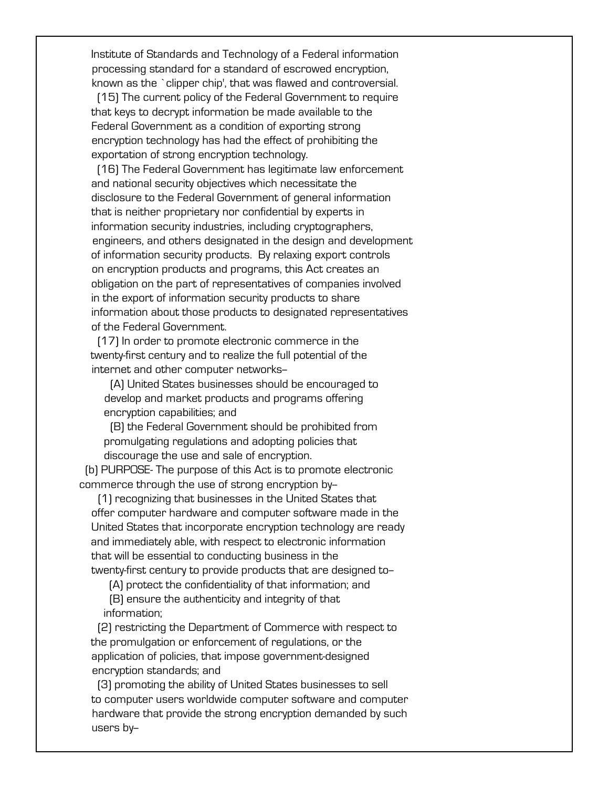Institute of Standards and Technology of a Federal information processing standard for a standard of escrowed encryption, known as the `clipper chip', that was flawed and controversial.

 (15) The current policy of the Federal Government to require that keys to decrypt information be made available to the Federal Government as a condition of exporting strong encryption technology has had the effect of prohibiting the exportation of strong encryption technology.

 (16) The Federal Government has legitimate law enforcement and national security objectives which necessitate the disclosure to the Federal Government of general information that is neither proprietary nor confidential by experts in information security industries, including cryptographers, engineers, and others designated in the design and development of information security products. By relaxing export controls on encryption products and programs, this Act creates an obligation on the part of representatives of companies involved in the export of information security products to share information about those products to designated representatives of the Federal Government.

 (17) In order to promote electronic commerce in the twenty-first century and to realize the full potential of the internet and other computer networks--

 (A) United States businesses should be encouraged to develop and market products and programs offering encryption capabilities; and

 (B) the Federal Government should be prohibited from promulgating regulations and adopting policies that discourage the use and sale of encryption.

 (b) PURPOSE- The purpose of this Act is to promote electronic commerce through the use of strong encryption by-

 (1) recognizing that businesses in the United States that offer computer hardware and computer software made in the United States that incorporate encryption technology are ready and immediately able, with respect to electronic information that will be essential to conducting business in the twenty-first century to provide products that are designed to-

(A) protect the confidentiality of that information; and

 (B) ensure the authenticity and integrity of that information;

 (2) restricting the Department of Commerce with respect to the promulgation or enforcement of regulations, or the application of policies, that impose government-designed encryption standards; and

 (3) promoting the ability of United States businesses to sell to computer users worldwide computer software and computer hardware that provide the strong encryption demanded by such users by-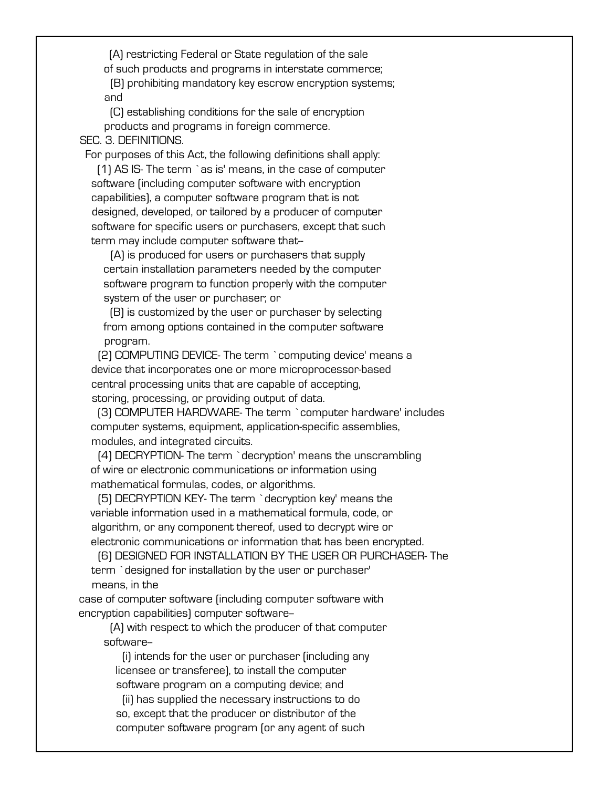(A) restricting Federal or State regulation of the sale of such products and programs in interstate commerce;

 (B) prohibiting mandatory key escrow encryption systems; and

 (C) establishing conditions for the sale of encryption products and programs in foreign commerce.

SEC. 3. DEFINITIONS.

For purposes of this Act, the following definitions shall apply:

 (1) AS IS- The term `as is' means, in the case of computer software (including computer software with encryption capabilities), a computer software program that is not designed, developed, or tailored by a producer of computer software for specific users or purchasers, except that such term may include computer software that-

 (A) is produced for users or purchasers that supply certain installation parameters needed by the computer software program to function properly with the computer system of the user or purchaser; or

 (B) is customized by the user or purchaser by selecting from among options contained in the computer software program.

 (2) COMPUTING DEVICE- The term `computing device' means a device that incorporates one or more microprocessor-based central processing units that are capable of accepting, storing, processing, or providing output of data.

 (3) COMPUTER HARDWARE- The term `computer hardware' includes computer systems, equipment, application-specific assemblies, modules, and integrated circuits.

 (4) DECRYPTION- The term `decryption' means the unscrambling of wire or electronic communications or information using mathematical formulas, codes, or algorithms.

 (5) DECRYPTION KEY- The term `decryption key' means the variable information used in a mathematical formula, code, or algorithm, or any component thereof, used to decrypt wire or electronic communications or information that has been encrypted.

 (6) DESIGNED FOR INSTALLATION BY THE USER OR PURCHASER- The term `designed for installation by the user or purchaser' means, in the

 case of computer software (including computer software with encryption capabilities) computer software--

 (A) with respect to which the producer of that computer software--

 (i) intends for the user or purchaser (including any licensee or transferee), to install the computer software program on a computing device; and

 (ii) has supplied the necessary instructions to do so, except that the producer or distributor of the computer software program (or any agent of such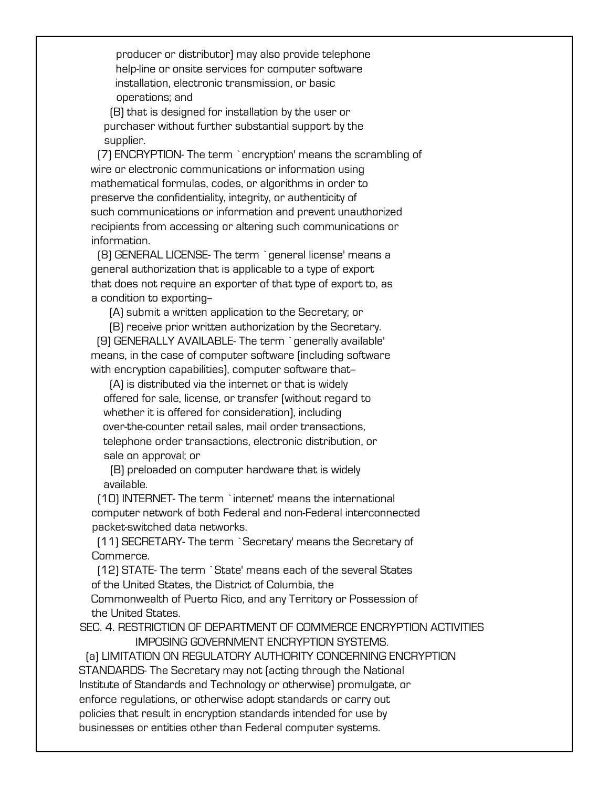producer or distributor) may also provide telephone help-line or onsite services for computer software installation, electronic transmission, or basic operations; and

 (B) that is designed for installation by the user or purchaser without further substantial support by the supplier.

 (7) ENCRYPTION- The term `encryption' means the scrambling of wire or electronic communications or information using mathematical formulas, codes, or algorithms in order to preserve the confidentiality, integrity, or authenticity of such communications or information and prevent unauthorized recipients from accessing or altering such communications or information.

 (8) GENERAL LICENSE- The term `general license' means a general authorization that is applicable to a type of export that does not require an exporter of that type of export to, as a condition to exporting--

(A) submit a written application to the Secretary; or

 (B) receive prior written authorization by the Secretary. (9) GENERALLY AVAILABLE- The term `generally available' means, in the case of computer software (including software with encryption capabilities), computer software that-

 (A) is distributed via the internet or that is widely offered for sale, license, or transfer (without regard to whether it is offered for consideration), including over-the-counter retail sales, mail order transactions, telephone order transactions, electronic distribution, or sale on approval; or

 (B) preloaded on computer hardware that is widely available.

 (10) INTERNET- The term `internet' means the international computer network of both Federal and non-Federal interconnected packet-switched data networks.

 (11) SECRETARY- The term `Secretary' means the Secretary of Commerce.

 (12) STATE- The term `State' means each of the several States of the United States, the District of Columbia, the

 Commonwealth of Puerto Rico, and any Territory or Possession of the United States.

 SEC. 4. RESTRICTION OF DEPARTMENT OF COMMERCE ENCRYPTION ACTIVITIES IMPOSING GOVERNMENT ENCRYPTION SYSTEMS.

 (a) LIMITATION ON REGULATORY AUTHORITY CONCERNING ENCRYPTION STANDARDS- The Secretary may not (acting through the National Institute of Standards and Technology or otherwise) promulgate, or enforce regulations, or otherwise adopt standards or carry out policies that result in encryption standards intended for use by businesses or entities other than Federal computer systems.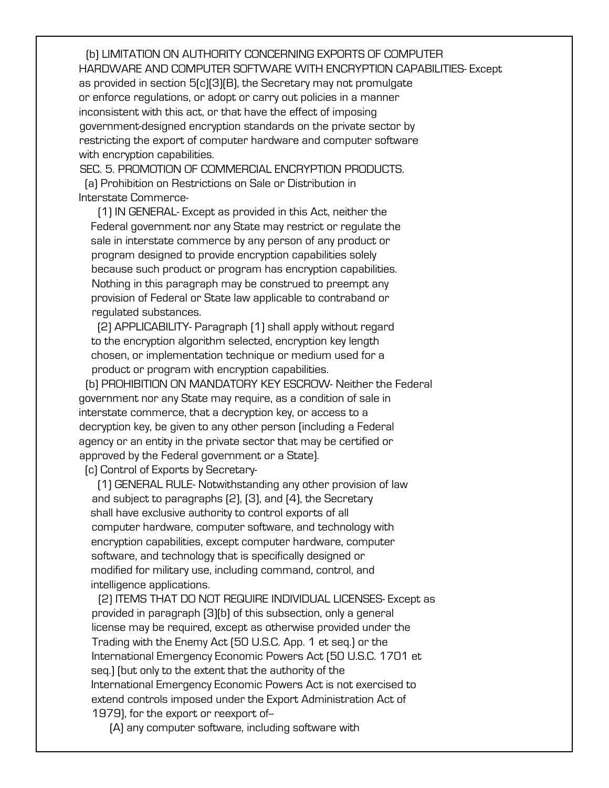(b) LIMITATION ON AUTHORITY CONCERNING EXPORTS OF COMPUTER HARDWARE AND COMPUTER SOFTWARE WITH ENCRYPTION CAPABILITIES- Except as provided in section 5(c)(3)(B), the Secretary may not promulgate or enforce regulations, or adopt or carry out policies in a manner inconsistent with this act, or that have the effect of imposing government-designed encryption standards on the private sector by restricting the export of computer hardware and computer software with encryption capabilities.

 SEC. 5. PROMOTION OF COMMERCIAL ENCRYPTION PRODUCTS. (a) Prohibition on Restrictions on Sale or Distribution in Interstate Commerce-

 (1) IN GENERAL- Except as provided in this Act, neither the Federal government nor any State may restrict or regulate the sale in interstate commerce by any person of any product or program designed to provide encryption capabilities solely because such product or program has encryption capabilities. Nothing in this paragraph may be construed to preempt any provision of Federal or State law applicable to contraband or regulated substances.

 (2) APPLICABILITY- Paragraph (1) shall apply without regard to the encryption algorithm selected, encryption key length chosen, or implementation technique or medium used for a product or program with encryption capabilities.

 (b) PROHIBITION ON MANDATORY KEY ESCROW- Neither the Federal government nor any State may require, as a condition of sale in interstate commerce, that a decryption key, or access to a decryption key, be given to any other person (including a Federal agency or an entity in the private sector that may be certified or approved by the Federal government or a State).

(c) Control of Exports by Secretary-

 (1) GENERAL RULE- Notwithstanding any other provision of law and subject to paragraphs (2), (3), and (4), the Secretary shall have exclusive authority to control exports of all computer hardware, computer software, and technology with encryption capabilities, except computer hardware, computer software, and technology that is specifically designed or modified for military use, including command, control, and intelligence applications.

 (2) ITEMS THAT DO NOT REQUIRE INDIVIDUAL LICENSES- Except as provided in paragraph (3)(b) of this subsection, only a general license may be required, except as otherwise provided under the Trading with the Enemy Act (50 U.S.C. App. 1 et seq.) or the International Emergency Economic Powers Act (50 U.S.C. 1701 et seq.) (but only to the extent that the authority of the International Emergency Economic Powers Act is not exercised to extend controls imposed under the Export Administration Act of 1979), for the export or reexport of-

(A) any computer software, including software with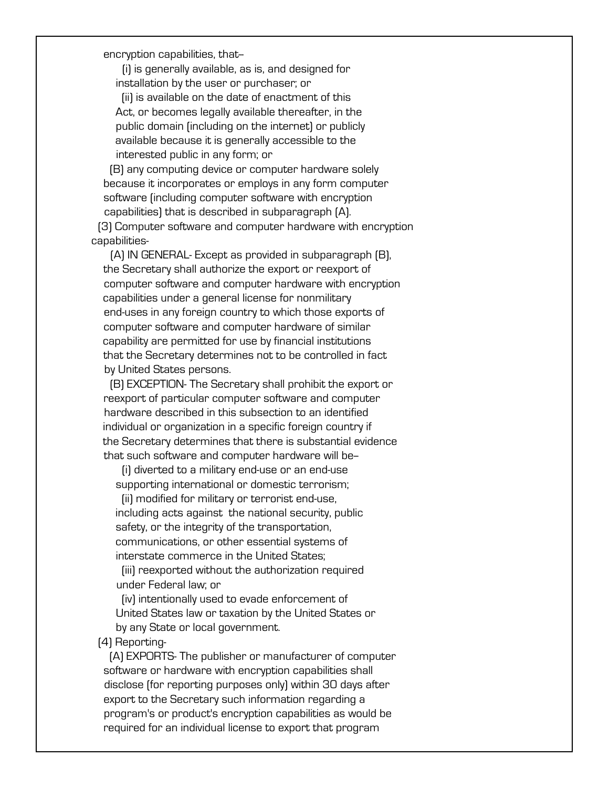encryption capabilities, that-

 (i) is generally available, as is, and designed for installation by the user or purchaser; or

 (ii) is available on the date of enactment of this Act, or becomes legally available thereafter, in the public domain (including on the internet) or publicly available because it is generally accessible to the interested public in any form; or

 (B) any computing device or computer hardware solely because it incorporates or employs in any form computer software (including computer software with encryption capabilities) that is described in subparagraph (A).

 (3) Computer software and computer hardware with encryption capabilities-

 (A) IN GENERAL- Except as provided in subparagraph (B), the Secretary shall authorize the export or reexport of computer software and computer hardware with encryption capabilities under a general license for nonmilitary end-uses in any foreign country to which those exports of computer software and computer hardware of similar capability are permitted for use by financial institutions that the Secretary determines not to be controlled in fact by United States persons.

 (B) EXCEPTION- The Secretary shall prohibit the export or reexport of particular computer software and computer hardware described in this subsection to an identified individual or organization in a specific foreign country if the Secretary determines that there is substantial evidence that such software and computer hardware will be-

 (i) diverted to a military end-use or an end-use supporting international or domestic terrorism;

 (ii) modified for military or terrorist end-use, including acts against the national security, public safety, or the integrity of the transportation, communications, or other essential systems of interstate commerce in the United States;

 (iii) reexported without the authorization required under Federal law; or

 (iv) intentionally used to evade enforcement of United States law or taxation by the United States or by any State or local government.

(4) Reporting-

 (A) EXPORTS- The publisher or manufacturer of computer software or hardware with encryption capabilities shall disclose (for reporting purposes only) within 30 days after export to the Secretary such information regarding a program's or product's encryption capabilities as would be required for an individual license to export that program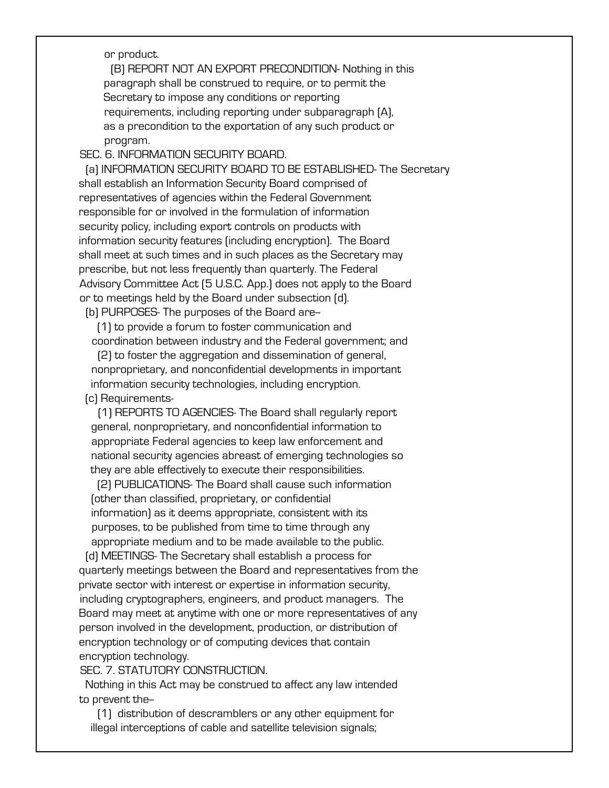or product.

 (B) REPORT NOT AN EXPORT PRECONDITION- Nothing in this paragraph shall be construed to require, or to permit the Secretary to impose any conditions or reporting requirements, including reporting under subparagraph (A), as a precondition to the exportation of any such product or program.

SEC. 6. INFORMATION SECURITY BOARD.

 (a) INFORMATION SECURITY BOARD TO BE ESTABLISHED- The Secretary shall establish an Information Security Board comprised of representatives of agencies within the Federal Government responsible for or involved in the formulation of information security policy, including export controls on products with information security features (including encryption). The Board shall meet at such times and in such places as the Secretary may prescribe, but not less frequently than quarterly. The Federal Advisory Committee Act (5 U.S.C. App.) does not apply to the Board or to meetings held by the Board under subsection (d).

(b) PURPOSES- The purposes of the Board are--

 (1) to provide a forum to foster communication and coordination between industry and the Federal government; and

 (2) to foster the aggregation and dissemination of general, nonproprietary, and nonconfidential developments in important information security technologies, including encryption. (c) Requirements-

 (1) REPORTS TO AGENCIES- The Board shall regularly report general, nonproprietary, and nonconfidential information to appropriate Federal agencies to keep law enforcement and national security agencies abreast of emerging technologies so they are able effectively to execute their responsibilities.

 (2) PUBLICATIONS- The Board shall cause such information (other than classified, proprietary, or confidential information) as it deems appropriate, consistent with its purposes, to be published from time to time through any appropriate medium and to be made available to the public.

 (d) MEETINGS- The Secretary shall establish a process for quarterly meetings between the Board and representatives from the private sector with interest or expertise in information security, including cryptographers, engineers, and product managers. The Board may meet at anytime with one or more representatives of any person involved in the development, production, or distribution of encryption technology or of computing devices that contain encryption technology.

SEC. 7. STATUTORY CONSTRUCTION.

 Nothing in this Act may be construed to affect any law intended to prevent the-

 (1) distribution of descramblers or any other equipment for illegal interceptions of cable and satellite television signals;